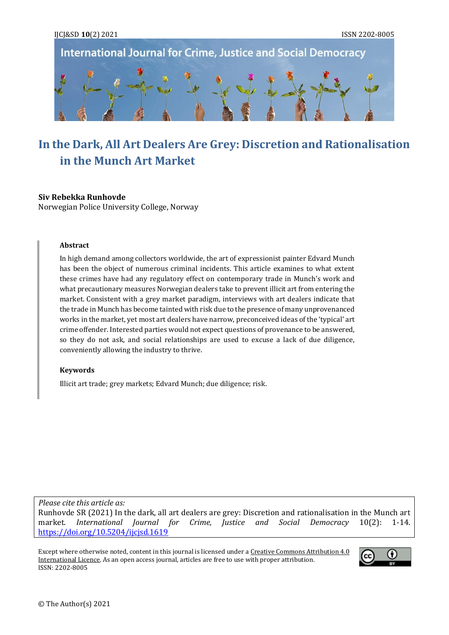

# **In the Dark, All Art Dealers Are Grey: Discretion and Rationalisation in the Munch Art Market**

### **Siv Rebekka Runhovde**

Norwegian Police University College, Norway

#### **Abstract**

In high demand among collectors worldwide, the art of expressionist painter Edvard Munch has been the object of numerous criminal incidents. This article examines to what extent these crimes have had any regulatory effect on contemporary trade in Munch's work and what precautionary measures Norwegian dealers take to prevent illicit art from entering the market. Consistent with a grey market paradigm, interviews with art dealers indicate that the trade in Munch has become tainted with risk due to the presence of many unprovenanced works in the market, yet most art dealers have narrow, preconceived ideas of the 'typical' art crime offender. Interested parties would not expect questions of provenance to be answered, so they do not ask, and social relationships are used to excuse a lack of due diligence, conveniently allowing the industry to thrive.

#### **Keywords**

Illicit art trade; grey markets; Edvard Munch; due diligence; risk.

*Please cite this article as:*

Runhovde SR (2021) In the dark, all art dealers are grey: Discretion and rationalisation in the Munch art market. *International Journal for Crime, Justice and Social Democracy* 10(2): 1-14. <https://doi.org/10.5204/ijcjsd.1619>

Except where otherwise noted, content in this journal is licensed under a Creative Commons Attribution 4.0 [International Licence.](https://creativecommons.org/licenses/by/4.0/) As an open access journal, articles are free to use with proper attribution. ISSN: 2202-8005

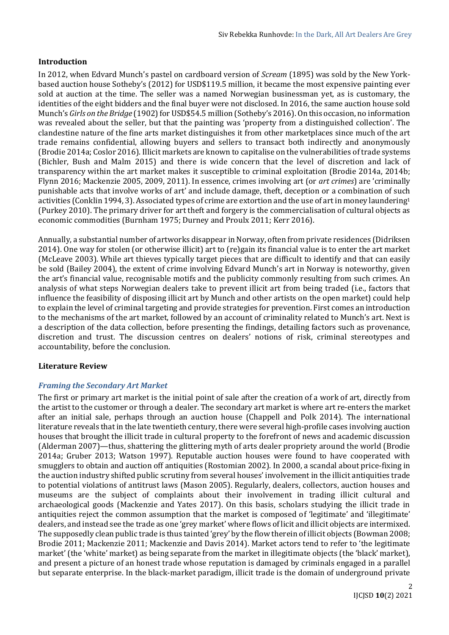## **Introduction**

In 2012, when Edvard Munch's pastel on cardboard version of *Scream* (1895) was sold by the New Yorkbased auction house Sotheby's (2012) for USD\$119.5 million, it became the most expensive painting ever sold at auction at the time. The seller was a named Norwegian businessman yet, as is customary, the identities of the eight bidders and the final buyer were not disclosed. In 2016, the same auction house sold Munch's *Girls on the Bridge* (1902) for USD\$54.5 million (Sotheby's 2016). On this occasion, no information was revealed about the seller, but that the painting was 'property from a distinguished collection'. The clandestine nature of the fine arts market distinguishes it from other marketplaces since much of the art trade remains confidential, allowing buyers and sellers to transact both indirectly and anonymously (Brodie 2014a; Coslor 2016). Illicit markets are known to capitalise on the vulnerabilities of trade systems (Bichler, Bush and Malm 2015) and there is wide concern that the level of discretion and lack of transparency within the art market makes it susceptible to criminal exploitation (Brodie 2014a, 2014b; Flynn 2016; Mackenzie 2005, 2009, 2011). In essence, crimes involving art (or *art crimes*) are 'criminally punishable acts that involve works of art' and include damage, theft, deception or a combination of such activities (Conklin 1994, 3). Associated types of crime are extortion and the use of art in money laundering<sup>1</sup> (Purkey 2010). The primary driver for art theft and forgery is the commercialisation of cultural objects as economic commodities (Burnham 1975; Durney and Proulx 2011; Kerr 2016).

Annually, a substantial number of artworks disappear in Norway, often from private residences (Didriksen 2014). One way for stolen (or otherwise illicit) art to (re)gain its financial value is to enter the art market (McLeave 2003). While art thieves typically target pieces that are difficult to identify and that can easily be sold (Bailey 2004), the extent of crime involving Edvard Munch's art in Norway is noteworthy, given the art's financial value, recognisable motifs and the publicity commonly resulting from such crimes. An analysis of what steps Norwegian dealers take to prevent illicit art from being traded (i.e., factors that influence the feasibility of disposing illicit art by Munch and other artists on the open market) could help to explain the level of criminal targeting and provide strategies for prevention. First comes an introduction to the mechanisms of the art market, followed by an account of criminality related to Munch's art. Next is a description of the data collection, before presenting the findings, detailing factors such as provenance, discretion and trust. The discussion centres on dealers' notions of risk, criminal stereotypes and accountability, before the conclusion.

# **Literature Review**

#### *Framing the Secondary Art Market*

The first or primary art market is the initial point of sale after the creation of a work of art, directly from the artist to the customer or through a dealer. The secondary art market is where art re-enters the market after an initial sale, perhaps through an auction house (Chappell and Polk 2014). The international literature reveals that in the late twentieth century, there were several high-profile cases involving auction houses that brought the illicit trade in cultural property to the forefront of news and academic discussion (Alderman 2007)—thus, shattering the glittering myth of arts dealer propriety around the world (Brodie 2014a; Gruber 2013; Watson 1997). Reputable auction houses were found to have cooperated with smugglers to obtain and auction off antiquities (Rostomian 2002). In 2000, a scandal about price-fixing in the auction industry shifted public scrutiny from several houses' involvement in the illicit antiquities trade to potential violations of antitrust laws (Mason 2005). Regularly, dealers, collectors, auction houses and museums are the subject of complaints about their involvement in trading illicit cultural and archaeological goods (Mackenzie and Yates 2017). On this basis, scholars studying the illicit trade in antiquities reject the common assumption that the market is composed of 'legitimate' and 'illegitimate' dealers, and instead see the trade as one 'grey market' where flows of licit and illicit objects are intermixed. The supposedly clean public trade is thus tainted 'grey' by the flow therein of illicit objects (Bowman 2008; Brodie 2011; Mackenzie 2011; Mackenzie and Davis 2014). Market actors tend to refer to 'the legitimate market' (the 'white' market) as being separate from the market in illegitimate objects (the 'black' market), and present a picture of an honest trade whose reputation is damaged by criminals engaged in a parallel but separate enterprise. In the black-market paradigm, illicit trade is the domain of underground private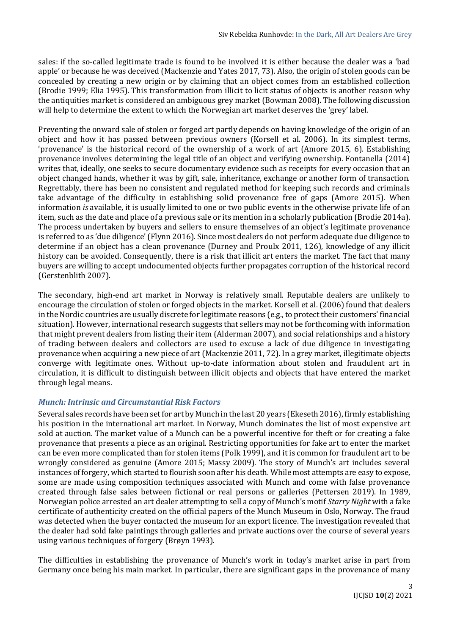sales: if the so-called legitimate trade is found to be involved it is either because the dealer was a 'bad apple' or because he was deceived (Mackenzie and Yates 2017, 73). Also, the origin of stolen goods can be concealed by creating a new origin or by claiming that an object comes from an established collection (Brodie 1999; Elia 1995). This transformation from illicit to licit status of objects is another reason why the antiquities market is considered an ambiguous grey market (Bowman 2008). The following discussion will help to determine the extent to which the Norwegian art market deserves the 'grey' label.

Preventing the onward sale of stolen or forged art partly depends on having knowledge of the origin of an object and how it has passed between previous owners (Korsell et al. 2006). In its simplest terms, 'provenance' is the historical record of the ownership of a work of art (Amore 2015, 6). Establishing provenance involves determining the legal title of an object and verifying ownership. Fontanella (2014) writes that, ideally, one seeks to secure documentary evidence such as receipts for every occasion that an object changed hands, whether it was by gift, sale, inheritance, exchange or another form of transaction. Regrettably, there has been no consistent and regulated method for keeping such records and criminals take advantage of the difficulty in establishing solid provenance free of gaps (Amore 2015). When information *is* available, it is usually limited to one or two public events in the otherwise private life of an item, such as the date and place of a previous sale or its mention in a scholarly publication (Brodie 2014a). The process undertaken by buyers and sellers to ensure themselves of an object's legitimate provenance is referred to as 'due diligence' (Flynn 2016). Since most dealers do not perform adequate due diligence to determine if an object has a clean provenance (Durney and Proulx 2011, 126), knowledge of any illicit history can be avoided. Consequently, there is a risk that illicit art enters the market. The fact that many buyers are willing to accept undocumented objects further propagates corruption of the historical record (Gerstenblith 2007).

The secondary, high-end art market in Norway is relatively small. Reputable dealers are unlikely to encourage the circulation of stolen or forged objects in the market. Korsell et al. (2006) found that dealers in the Nordic countries are usually discrete for legitimate reasons (e.g., to protect their customers' financial situation). However, international research suggests that sellers may not be forthcoming with information that might prevent dealers from listing their item (Alderman 2007), and social relationships and a history of trading between dealers and collectors are used to excuse a lack of due diligence in investigating provenance when acquiring a new piece of art (Mackenzie 2011, 72). In a grey market, illegitimate objects converge with legitimate ones. Without up-to-date information about stolen and fraudulent art in circulation, it is difficult to distinguish between illicit objects and objects that have entered the market through legal means.

# *Munch: Intrinsic and Circumstantial Risk Factors*

Several sales records have been set for art by Munch in the last 20 years (Ekeseth 2016), firmly establishing his position in the international art market. In Norway, Munch dominates the list of most expensive art sold at auction. The market value of a Munch can be a powerful incentive for theft or for creating a fake provenance that presents a piece as an original. Restricting opportunities for fake art to enter the market can be even more complicated than for stolen items (Polk 1999), and it is common for fraudulent art to be wrongly considered as genuine (Amore 2015; Massy 2009). The story of Munch's art includes several instances of forgery, which started to flourish soon after his death. While most attempts are easy to expose, some are made using composition techniques associated with Munch and come with false provenance created through false sales between fictional or real persons or galleries (Pettersen 2019). In 1989, Norwegian police arrested an art dealer attempting to sell a copy of Munch's motif *Starry Night* with a fake certificate of authenticity created on the official papers of the Munch Museum in Oslo, Norway. The fraud was detected when the buyer contacted the museum for an export licence. The investigation revealed that the dealer had sold fake paintings through galleries and private auctions over the course of several years using various techniques of forgery (Brøyn 1993).

The difficulties in establishing the provenance of Munch's work in today's market arise in part from Germany once being his main market. In particular, there are significant gaps in the provenance of many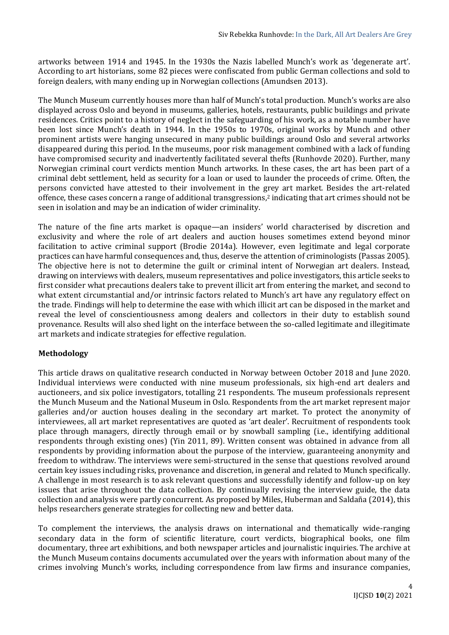artworks between 1914 and 1945. In the 1930s the Nazis labelled Munch's work as 'degenerate art'. According to art historians, some 82 pieces were confiscated from public German collections and sold to foreign dealers, with many ending up in Norwegian collections (Amundsen 2013).

The Munch Museum currently houses more than half of Munch's total production. Munch's works are also displayed across Oslo and beyond in museums, galleries, hotels, restaurants, public buildings and private residences. Critics point to a history of neglect in the safeguarding of his work, as a notable number have been lost since Munch's death in 1944. In the 1950s to 1970s, original works by Munch and other prominent artists were hanging unsecured in many public buildings around Oslo and several artworks disappeared during this period. In the museums, poor risk management combined with a lack of funding have compromised security and inadvertently facilitated several thefts (Runhovde 2020). Further, many Norwegian criminal court verdicts mention Munch artworks. In these cases, the art has been part of a criminal debt settlement, held as security for a loan or used to launder the proceeds of crime. Often, the persons convicted have attested to their involvement in the grey art market. Besides the art-related offence, these cases concern a range of additional transgressions,<sup>2</sup> indicating that art crimes should not be seen in isolation and may be an indication of wider criminality.

The nature of the fine arts market is opaque—an insiders' world characterised by discretion and exclusivity and where the role of art dealers and auction houses sometimes extend beyond minor facilitation to active criminal support (Brodie 2014a). However, even legitimate and legal corporate practices can have harmful consequences and, thus, deserve the attention of criminologists (Passas 2005). The objective here is not to determine the guilt or criminal intent of Norwegian art dealers. Instead, drawing on interviews with dealers, museum representatives and police investigators, this article seeks to first consider what precautions dealers take to prevent illicit art from entering the market, and second to what extent circumstantial and/or intrinsic factors related to Munch's art have any regulatory effect on the trade. Findings will help to determine the ease with which illicit art can be disposed in the market and reveal the level of conscientiousness among dealers and collectors in their duty to establish sound provenance. Results will also shed light on the interface between the so-called legitimate and illegitimate art markets and indicate strategies for effective regulation.

# **Methodology**

This article draws on qualitative research conducted in Norway between October 2018 and June 2020. Individual interviews were conducted with nine museum professionals, six high-end art dealers and auctioneers, and six police investigators, totalling 21 respondents. The museum professionals represent the Munch Museum and the National Museum in Oslo. Respondents from the art market represent major galleries and/or auction houses dealing in the secondary art market. To protect the anonymity of interviewees, all art market representatives are quoted as 'art dealer'. Recruitment of respondents took place through managers, directly through email or by snowball sampling (i.e., identifying additional respondents through existing ones) (Yin 2011, 89). Written consent was obtained in advance from all respondents by providing information about the purpose of the interview, guaranteeing anonymity and freedom to withdraw. The interviews were semi-structured in the sense that questions revolved around certain key issues including risks, provenance and discretion, in general and related to Munch specifically. A challenge in most research is to ask relevant questions and successfully identify and follow-up on key issues that arise throughout the data collection. By continually revising the interview guide, the data collection and analysis were partly concurrent. As proposed by Miles, Huberman and Saldaña (2014), this helps researchers generate strategies for collecting new and better data.

To complement the interviews, the analysis draws on international and thematically wide-ranging secondary data in the form of scientific literature, court verdicts, biographical books, one film documentary, three art exhibitions, and both newspaper articles and journalistic inquiries. The archive at the Munch Museum contains documents accumulated over the years with information about many of the crimes involving Munch's works, including correspondence from law firms and insurance companies,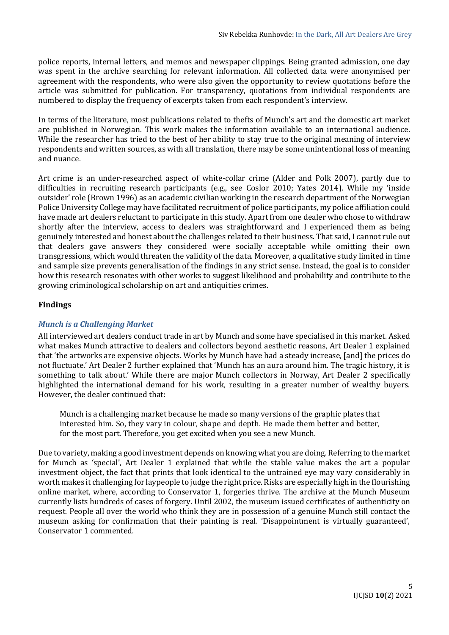police reports, internal letters, and memos and newspaper clippings. Being granted admission, one day was spent in the archive searching for relevant information. All collected data were anonymised per agreement with the respondents, who were also given the opportunity to review quotations before the article was submitted for publication. For transparency, quotations from individual respondents are numbered to display the frequency of excerpts taken from each respondent's interview.

In terms of the literature, most publications related to thefts of Munch's art and the domestic art market are published in Norwegian. This work makes the information available to an international audience. While the researcher has tried to the best of her ability to stay true to the original meaning of interview respondents and written sources, as with all translation, there may be some unintentional loss of meaning and nuance.

Art crime is an under-researched aspect of white-collar crime (Alder and Polk 2007), partly due to difficulties in recruiting research participants (e.g., see Coslor 2010; Yates 2014). While my 'inside outsider' role (Brown 1996) as an academic civilian working in the research department of the Norwegian Police University College may have facilitated recruitment of police participants, my police affiliation could have made art dealers reluctant to participate in this study. Apart from one dealer who chose to withdraw shortly after the interview, access to dealers was straightforward and I experienced them as being genuinely interested and honest about the challenges related to their business. That said, I cannot rule out that dealers gave answers they considered were socially acceptable while omitting their own transgressions, which would threaten the validity of the data. Moreover, a qualitative study limited in time and sample size prevents generalisation of the findings in any strict sense. Instead, the goal is to consider how this research resonates with other works to suggest likelihood and probability and contribute to the growing criminological scholarship on art and antiquities crimes.

# **Findings**

# *Munch is a Challenging Market*

All interviewed art dealers conduct trade in art by Munch and some have specialised in this market. Asked what makes Munch attractive to dealers and collectors beyond aesthetic reasons, Art Dealer 1 explained that 'the artworks are expensive objects. Works by Munch have had a steady increase, [and] the prices do not fluctuate.' Art Dealer 2 further explained that 'Munch has an aura around him. The tragic history, it is something to talk about.' While there are major Munch collectors in Norway, Art Dealer 2 specifically highlighted the international demand for his work, resulting in a greater number of wealthy buyers. However, the dealer continued that:

Munch is a challenging market because he made so many versions of the graphic plates that interested him. So, they vary in colour, shape and depth. He made them better and better, for the most part. Therefore, you get excited when you see a new Munch.

Due to variety, making a good investment depends on knowing what you are doing. Referring to the market for Munch as 'special', Art Dealer 1 explained that while the stable value makes the art a popular investment object, the fact that prints that look identical to the untrained eye may vary considerably in worth makes it challenging for laypeople to judge the right price. Risks are especially high in the flourishing online market, where, according to Conservator 1, forgeries thrive. The archive at the Munch Museum currently lists hundreds of cases of forgery. Until 2002, the museum issued certificates of authenticity on request. People all over the world who think they are in possession of a genuine Munch still contact the museum asking for confirmation that their painting is real. 'Disappointment is virtually guaranteed', Conservator 1 commented.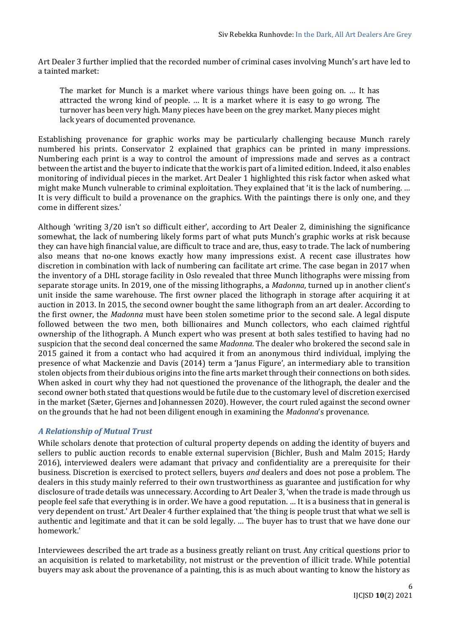Art Dealer 3 further implied that the recorded number of criminal cases involving Munch's art have led to a tainted market:

The market for Munch is a market where various things have been going on. … It has attracted the wrong kind of people. … It is a market where it is easy to go wrong. The turnover has been very high. Many pieces have been on the grey market. Many pieces might lack years of documented provenance.

Establishing provenance for graphic works may be particularly challenging because Munch rarely numbered his prints. Conservator 2 explained that graphics can be printed in many impressions. Numbering each print is a way to control the amount of impressions made and serves as a contract between the artist and the buyer to indicate that the work is part of a limited edition. Indeed, it also enables monitoring of individual pieces in the market. Art Dealer 1 highlighted this risk factor when asked what might make Munch vulnerable to criminal exploitation. They explained that 'it is the lack of numbering. … It is very difficult to build a provenance on the graphics. With the paintings there is only one, and they come in different sizes.'

Although 'writing 3/20 isn't so difficult either', according to Art Dealer 2, diminishing the significance somewhat, the lack of numbering likely forms part of what puts Munch's graphic works at risk because they can have high financial value, are difficult to trace and are, thus, easy to trade. The lack of numbering also means that no-one knows exactly how many impressions exist. A recent case illustrates how discretion in combination with lack of numbering can facilitate art crime. The case began in 2017 when the inventory of a DHL storage facility in Oslo revealed that three Munch lithographs were missing from separate storage units. In 2019, one of the missing lithographs, a *Madonna*, turned up in another client's unit inside the same warehouse. The first owner placed the lithograph in storage after acquiring it at auction in 2013. In 2015, the second owner bought the same lithograph from an art dealer. According to the first owner, the *Madonna* must have been stolen sometime prior to the second sale. A legal dispute followed between the two men, both billionaires and Munch collectors, who each claimed rightful ownership of the lithograph. A Munch expert who was present at both sales testified to having had no suspicion that the second deal concerned the same *Madonna*. The dealer who brokered the second sale in 2015 gained it from a contact who had acquired it from an anonymous third individual, implying the presence of what Mackenzie and Davis (2014) term a 'Janus Figure', an intermediary able to transition stolen objects from their dubious origins into the fine arts market through their connections on both sides. When asked in court why they had not questioned the provenance of the lithograph, the dealer and the second owner both stated that questions would be futile due to the customary level of discretion exercised in the market (Sæter, Gjernes and Johannessen 2020). However, the court ruled against the second owner on the grounds that he had not been diligent enough in examining the *Madonna*'s provenance.

# *A Relationship of Mutual Trust*

While scholars denote that protection of cultural property depends on adding the identity of buyers and sellers to public auction records to enable external supervision (Bichler, Bush and Malm 2015; Hardy 2016), interviewed dealers were adamant that privacy and confidentiality are a prerequisite for their business. Discretion is exercised to protect sellers, buyers *and* dealers and does not pose a problem. The dealers in this study mainly referred to their own trustworthiness as guarantee and justification for why disclosure of trade details was unnecessary. According to Art Dealer 3, 'when the trade is made through us people feel safe that everything is in order. We have a good reputation. … It is a business that in general is very dependent on trust.' Art Dealer 4 further explained that 'the thing is people trust that what we sell is authentic and legitimate and that it can be sold legally. … The buyer has to trust that we have done our homework.'

Interviewees described the art trade as a business greatly reliant on trust. Any critical questions prior to an acquisition is related to marketability, not mistrust or the prevention of illicit trade. While potential buyers may ask about the provenance of a painting, this is as much about wanting to know the history as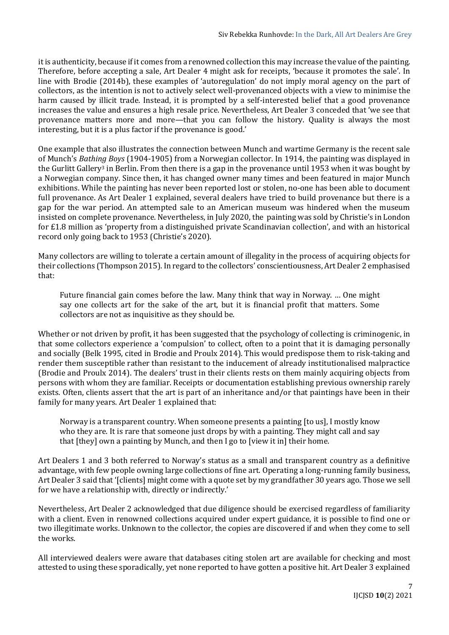it is authenticity, because if it comes from a renowned collection this may increase the value of the painting. Therefore, before accepting a sale, Art Dealer 4 might ask for receipts, 'because it promotes the sale'. In line with Brodie (2014b), these examples of 'autoregulation' do not imply moral agency on the part of collectors, as the intention is not to actively select well-provenanced objects with a view to minimise the harm caused by illicit trade. Instead, it is prompted by a self-interested belief that a good provenance increases the value and ensures a high resale price. Nevertheless, Art Dealer 3 conceded that 'we see that provenance matters more and more—that you can follow the history. Quality is always the most interesting, but it is a plus factor if the provenance is good.'

One example that also illustrates the connection between Munch and wartime Germany is the recent sale of Munch's *Bathing Boys* (1904-1905) from a Norwegian collector. In 1914, the painting was displayed in the Gurlitt Gallery<sup>3</sup> in Berlin. From then there is a gap in the provenance until 1953 when it was bought by a Norwegian company. Since then, it has changed owner many times and been featured in major Munch exhibitions. While the painting has never been reported lost or stolen, no-one has been able to document full provenance. As Art Dealer 1 explained, several dealers have tried to build provenance but there is a gap for the war period. An attempted sale to an American museum was hindered when the museum insisted on complete provenance. Nevertheless, in July 2020, the painting was sold by Christie's in London for £1.8 million as 'property from a distinguished private Scandinavian collection', and with an historical record only going back to 1953 (Christie's 2020).

Many collectors are willing to tolerate a certain amount of illegality in the process of acquiring objects for their collections (Thompson 2015). In regard to the collectors' conscientiousness, Art Dealer 2 emphasised that:

Future financial gain comes before the law. Many think that way in Norway. … One might say one collects art for the sake of the art, but it is financial profit that matters. Some collectors are not as inquisitive as they should be.

Whether or not driven by profit, it has been suggested that the psychology of collecting is criminogenic, in that some collectors experience a 'compulsion' to collect, often to a point that it is damaging personally and socially (Belk 1995, cited in Brodie and Proulx 2014). This would predispose them to risk-taking and render them susceptible rather than resistant to the inducement of already institutionalised malpractice (Brodie and Proulx 2014). The dealers' trust in their clients rests on them mainly acquiring objects from persons with whom they are familiar. Receipts or documentation establishing previous ownership rarely exists. Often, clients assert that the art is part of an inheritance and/or that paintings have been in their family for many years. Art Dealer 1 explained that:

Norway is a transparent country. When someone presents a painting [to us], I mostly know who they are. It is rare that someone just drops by with a painting. They might call and say that [they] own a painting by Munch, and then I go to [view it in] their home.

Art Dealers 1 and 3 both referred to Norway's status as a small and transparent country as a definitive advantage, with few people owning large collections of fine art. Operating a long-running family business, Art Dealer 3 said that '[clients] might come with a quote set by my grandfather 30 years ago. Those we sell for we have a relationship with, directly or indirectly.'

Nevertheless, Art Dealer 2 acknowledged that due diligence should be exercised regardless of familiarity with a client. Even in renowned collections acquired under expert guidance, it is possible to find one or two illegitimate works. Unknown to the collector, the copies are discovered if and when they come to sell the works.

All interviewed dealers were aware that databases citing stolen art are available for checking and most attested to using these sporadically, yet none reported to have gotten a positive hit. Art Dealer 3 explained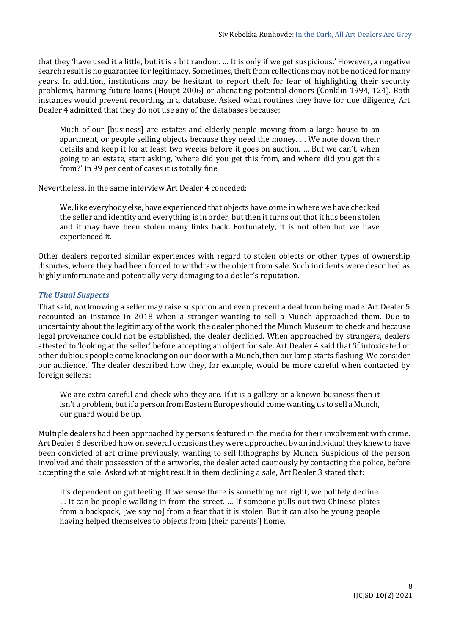that they 'have used it a little, but it is a bit random. … It is only if we get suspicious.' However, a negative search result is no guarantee for legitimacy. Sometimes, theft from collections may not be noticed for many years. In addition, institutions may be hesitant to report theft for fear of highlighting their security problems, harming future loans (Houpt 2006) or alienating potential donors (Conklin 1994, 124). Both instances would prevent recording in a database. Asked what routines they have for due diligence, Art Dealer 4 admitted that they do not use any of the databases because:

Much of our [business] are estates and elderly people moving from a large house to an apartment, or people selling objects because they need the money. … We note down their details and keep it for at least two weeks before it goes on auction. … But we can't, when going to an estate, start asking, 'where did you get this from, and where did you get this from?' In 99 per cent of cases it is totally fine.

Nevertheless, in the same interview Art Dealer 4 conceded:

We, like everybody else, have experienced that objects have come in where we have checked the seller and identity and everything is in order, but then it turns out that it has been stolen and it may have been stolen many links back. Fortunately, it is not often but we have experienced it.

Other dealers reported similar experiences with regard to stolen objects or other types of ownership disputes, where they had been forced to withdraw the object from sale. Such incidents were described as highly unfortunate and potentially very damaging to a dealer's reputation.

### *The Usual Suspects*

That said, *not* knowing a seller may raise suspicion and even prevent a deal from being made. Art Dealer 5 recounted an instance in 2018 when a stranger wanting to sell a Munch approached them. Due to uncertainty about the legitimacy of the work, the dealer phoned the Munch Museum to check and because legal provenance could not be established, the dealer declined. When approached by strangers, dealers attested to 'looking at the seller' before accepting an object for sale. Art Dealer 4 said that 'if intoxicated or other dubious people come knocking on our door with a Munch, then our lamp starts flashing. We consider our audience.' The dealer described how they, for example, would be more careful when contacted by foreign sellers:

We are extra careful and check who they are. If it is a gallery or a known business then it isn't a problem, but if a person from Eastern Europe should come wanting us to sell a Munch, our guard would be up.

Multiple dealers had been approached by persons featured in the media for their involvement with crime. Art Dealer 6 described how on several occasions they were approached by an individual they knew to have been convicted of art crime previously, wanting to sell lithographs by Munch. Suspicious of the person involved and their possession of the artworks, the dealer acted cautiously by contacting the police, before accepting the sale. Asked what might result in them declining a sale, Art Dealer 3 stated that:

It's dependent on gut feeling. If we sense there is something not right, we politely decline. … It can be people walking in from the street. … If someone pulls out two Chinese plates from a backpack, [we say no] from a fear that it is stolen. But it can also be young people having helped themselves to objects from [their parents'] home.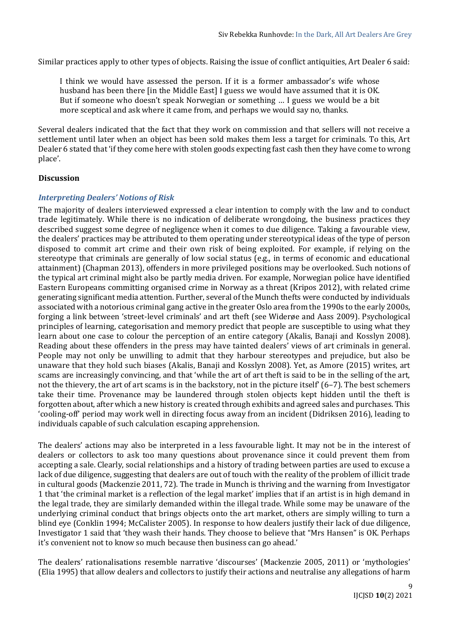Similar practices apply to other types of objects. Raising the issue of conflict antiquities, Art Dealer 6 said:

I think we would have assessed the person. If it is a former ambassador's wife whose husband has been there [in the Middle East] I guess we would have assumed that it is OK. But if someone who doesn't speak Norwegian or something … I guess we would be a bit more sceptical and ask where it came from, and perhaps we would say no, thanks.

Several dealers indicated that the fact that they work on commission and that sellers will not receive a settlement until later when an object has been sold makes them less a target for criminals. To this, Art Dealer 6 stated that 'if they come here with stolen goods expecting fast cash then they have come to wrong place'.

### **Discussion**

# *Interpreting Dealers' Notions of Risk*

The majority of dealers interviewed expressed a clear intention to comply with the law and to conduct trade legitimately. While there is no indication of deliberate wrongdoing, the business practices they described suggest some degree of negligence when it comes to due diligence. Taking a favourable view, the dealers' practices may be attributed to them operating under stereotypical ideas of the type of person disposed to commit art crime and their own risk of being exploited. For example, if relying on the stereotype that criminals are generally of low social status (e.g., in terms of economic and educational attainment) (Chapman 2013), offenders in more privileged positions may be overlooked. Such notions of the typical art criminal might also be partly media driven. For example, Norwegian police have identified Eastern Europeans committing organised crime in Norway as a threat (Kripos 2012), with related crime generating significant media attention. Further, several of the Munch thefts were conducted by individuals associated with a notorious criminal gang active in the greater Oslo area from the 1990s to the early 2000s, forging a link between 'street-level criminals' and art theft (see Widerøe and Aass 2009). Psychological principles of learning, categorisation and memory predict that people are susceptible to using what they learn about one case to colour the perception of an entire category (Akalis, Banaji and Kosslyn 2008). Reading about these offenders in the press may have tainted dealers' views of art criminals in general. People may not only be unwilling to admit that they harbour stereotypes and prejudice, but also be unaware that they hold such biases (Akalis, Banaji and Kosslyn 2008). Yet, as Amore (2015) writes, art scams are increasingly convincing, and that 'while the art of art theft is said to be in the selling of the art, not the thievery, the art of art scams is in the backstory, not in the picture itself' (6–7). The best schemers take their time. Provenance may be laundered through stolen objects kept hidden until the theft is forgotten about, after which a new history is created through exhibits and agreed sales and purchases. This 'cooling-off' period may work well in directing focus away from an incident (Didriksen 2016), leading to individuals capable of such calculation escaping apprehension.

The dealers' actions may also be interpreted in a less favourable light. It may not be in the interest of dealers or collectors to ask too many questions about provenance since it could prevent them from accepting a sale. Clearly, social relationships and a history of trading between parties are used to excuse a lack of due diligence, suggesting that dealers are out of touch with the reality of the problem of illicit trade in cultural goods (Mackenzie 2011, 72). The trade in Munch is thriving and the warning from Investigator 1 that 'the criminal market is a reflection of the legal market' implies that if an artist is in high demand in the legal trade, they are similarly demanded within the illegal trade. While some may be unaware of the underlying criminal conduct that brings objects onto the art market, others are simply willing to turn a blind eye (Conklin 1994; McCalister 2005). In response to how dealers justify their lack of due diligence, Investigator 1 said that 'they wash their hands. They choose to believe that "Mrs Hansen" is OK. Perhaps it's convenient not to know so much because then business can go ahead.'

The dealers' rationalisations resemble narrative 'discourses' (Mackenzie 2005, 2011) or 'mythologies' (Elia 1995) that allow dealers and collectors to justify their actions and neutralise any allegations of harm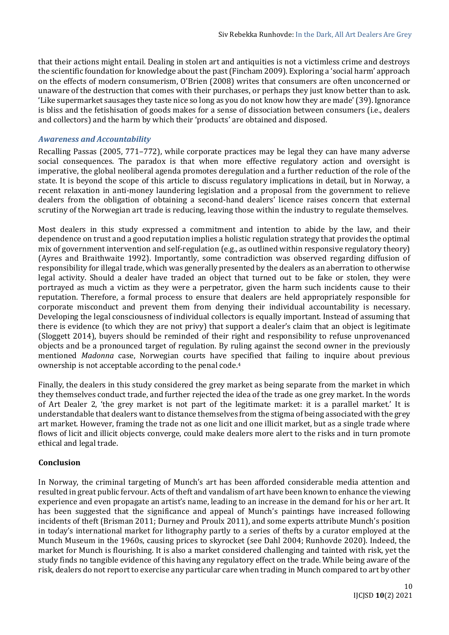that their actions might entail. Dealing in stolen art and antiquities is not a victimless crime and destroys the scientific foundation for knowledge about the past (Fincham 2009). Exploring a 'social harm' approach on the effects of modern consumerism, O'Brien (2008) writes that consumers are often unconcerned or unaware of the destruction that comes with their purchases, or perhaps they just know better than to ask. 'Like supermarket sausages they taste nice so long as you do not know how they are made' (39). Ignorance is bliss and the fetishisation of goods makes for a sense of dissociation between consumers (i.e., dealers and collectors) and the harm by which their 'products' are obtained and disposed.

## *Awareness and Accountability*

Recalling Passas (2005, 771–772), while corporate practices may be legal they can have many adverse social consequences. The paradox is that when more effective regulatory action and oversight is imperative, the global neoliberal agenda promotes deregulation and a further reduction of the role of the state. It is beyond the scope of this article to discuss regulatory implications in detail, but in Norway, a recent relaxation in anti-money laundering legislation and a proposal from the government to relieve dealers from the obligation of obtaining a second-hand dealers' licence raises concern that external scrutiny of the Norwegian art trade is reducing, leaving those within the industry to regulate themselves.

Most dealers in this study expressed a commitment and intention to abide by the law, and their dependence on trust and a good reputation implies a holistic regulation strategy that provides the optimal mix of government intervention and self-regulation (e.g., as outlined within responsive regulatory theory) (Ayres and Braithwaite 1992). Importantly, some contradiction was observed regarding diffusion of responsibility for illegal trade, which was generally presented by the dealers as an aberration to otherwise legal activity. Should a dealer have traded an object that turned out to be fake or stolen, they were portrayed as much a victim as they were a perpetrator, given the harm such incidents cause to their reputation. Therefore, a formal process to ensure that dealers are held appropriately responsible for corporate misconduct and prevent them from denying their individual accountability is necessary. Developing the legal consciousness of individual collectors is equally important. Instead of assuming that there is evidence (to which they are not privy) that support a dealer's claim that an object is legitimate (Sloggett 2014), buyers should be reminded of their right and responsibility to refuse unprovenanced objects and be a pronounced target of regulation. By ruling against the second owner in the previously mentioned *Madonna* case, Norwegian courts have specified that failing to inquire about previous ownership is not acceptable according to the penal code.<sup>4</sup>

Finally, the dealers in this study considered the grey market as being separate from the market in which they themselves conduct trade, and further rejected the idea of the trade as one grey market. In the words of Art Dealer 2, 'the grey market is not part of the legitimate market: it is a parallel market.' It is understandable that dealers want to distance themselves from the stigma of being associated with the grey art market. However, framing the trade not as one licit and one illicit market, but as a single trade where flows of licit and illicit objects converge, could make dealers more alert to the risks and in turn promote ethical and legal trade.

#### **Conclusion**

In Norway, the criminal targeting of Munch's art has been afforded considerable media attention and resulted in great public fervour. Acts of theft and vandalism of art have been known to enhance the viewing experience and even propagate an artist's name, leading to an increase in the demand for his or her art. It has been suggested that the significance and appeal of Munch's paintings have increased following incidents of theft (Brisman 2011; Durney and Proulx 2011), and some experts attribute Munch's position in today's international market for lithography partly to a series of thefts by a curator employed at the Munch Museum in the 1960s, causing prices to skyrocket (see Dahl 2004; Runhovde 2020). Indeed, the market for Munch is flourishing. It is also a market considered challenging and tainted with risk, yet the study finds no tangible evidence of this having any regulatory effect on the trade. While being aware of the risk, dealers do not report to exercise any particular care when trading in Munch compared to art by other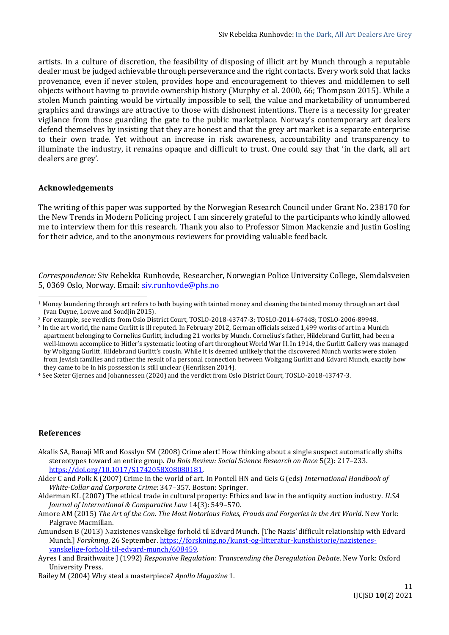artists. In a culture of discretion, the feasibility of disposing of illicit art by Munch through a reputable dealer must be judged achievable through perseverance and the right contacts. Every work sold that lacks provenance, even if never stolen, provides hope and encouragement to thieves and middlemen to sell objects without having to provide ownership history (Murphy et al. 2000, 66; Thompson 2015). While a stolen Munch painting would be virtually impossible to sell, the value and marketability of unnumbered graphics and drawings are attractive to those with dishonest intentions. There is a necessity for greater vigilance from those guarding the gate to the public marketplace. Norway's contemporary art dealers defend themselves by insisting that they are honest and that the grey art market is a separate enterprise to their own trade. Yet without an increase in risk awareness, accountability and transparency to illuminate the industry, it remains opaque and difficult to trust. One could say that 'in the dark, all art dealers are grey'.

### **Acknowledgements**

The writing of this paper was supported by the Norwegian Research Council under Grant No. 238170 for the New Trends in Modern Policing project. I am sincerely grateful to the participants who kindly allowed me to interview them for this research. Thank you also to Professor Simon Mackenzie and Justin Gosling for their advice, and to the anonymous reviewers for providing valuable feedback.

*Correspondence:* Siv Rebekka Runhovde, Researcher, Norwegian Police University College, Slemdalsveien 5, 0369 Oslo, Norway. Email: [siv.runhovde@phs.no](mailto:siv.runhovde@phs.no)

#### **References**

- Akalis SA, Banaji MR and Kosslyn SM (2008) Crime alert! How thinking about a single suspect automatically shifts stereotypes toward an entire group. *Du Bois Review: Social Science Research on Race* 5(2): 217–233. [https://doi.org/10.1017/S1742058X08080181.](https://doi.org/10.1017/S1742058X08080181)
- Alder C and Polk K (2007) Crime in the world of art. In Pontell HN and Geis G (eds) *International Handbook of White-Collar and Corporate Crime*: 347–357. Boston: Springer.
- Alderman KL (2007) The ethical trade in cultural property: Ethics and law in the antiquity auction industry. *ILSA Journal of International & Comparative Law* 14(3): 549–570.
- Amore AM (2015) *The Art of the Con. The Most Notorious Fakes, Frauds and Forgeries in the Art World*. New York: Palgrave Macmillan.
- Amundsen B (2013) Nazistenes vanskelige forhold til Edvard Munch. [The Nazis' difficult relationship with Edvard Munch.] *Forskning*, 26 September. [https://forskning.no/kunst-og-litteratur-kunsthistorie/nazistenes](https://forskning.no/kunst-og-litteratur-kunsthistorie/nazistenes-vanskelige-forhold-til-edvard-munch/608459)[vanskelige-forhold-til-edvard-munch/608459.](https://forskning.no/kunst-og-litteratur-kunsthistorie/nazistenes-vanskelige-forhold-til-edvard-munch/608459)
- Ayres I and Braithwaite J (1992) *Responsive Regulation: Transcending the Deregulation Debate*. New York: Oxford University Press.
- Bailey M (2004) Why steal a masterpiece? *Apollo Magazine* 1.

<sup>&</sup>lt;sup>1</sup> Money laundering through art refers to both buying with tainted money and cleaning the tainted money through an art deal (van Duyne, Louwe and Soudjin 2015).

<sup>2</sup> For example, see verdicts from Oslo District Court, TOSLO-2018-43747-3; TOSLO-2014-67448; TOSLO-2006-89948.

<sup>3</sup> In the art world, the name Gurlitt is ill reputed. In February 2012, German officials seized 1,499 works of art in a Munich apartment belonging to Cornelius Gurlitt, including 21 works by Munch. Cornelius's father, Hildebrand Gurlitt, had been a well-known accomplice to Hitler's systematic looting of art throughout World War II. In 1914, the Gurlitt Gallery was managed by Wolfgang Gurlitt, Hildebrand Gurlitt's cousin. While it is deemed unlikely that the discovered Munch works were stolen from Jewish families and rather the result of a personal connection between Wolfgang Gurlitt and Edvard Munch, exactly how they came to be in his possession is still unclear (Henriksen 2014).

<sup>4</sup> See Sæter Gjernes and Johannessen (2020) and the verdict from Oslo District Court, TOSLO-2018-43747-3.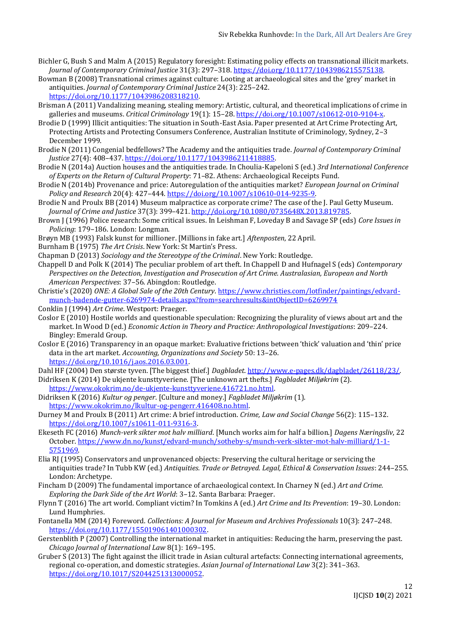- Bichler G, Bush S and Malm A (2015) Regulatory foresight: Estimating policy effects on transnational illicit markets. *Journal of Contemporary Criminal Justice* 31(3): 297–318. [https://doi.org/10.1177/1043986215575138.](https://doi.org/10.1177%2F1043986215575138)
- Bowman B (2008) Transnational crimes against culture: Looting at archaeological sites and the 'grey' market in antiquities. *Journal of Contemporary Criminal Justice* 24(3): 225–242. [https://doi.org/10.1177/1043986208318210.](https://doi.org/10.1177%2F1043986208318210)
- Brisman A (2011) Vandalizing meaning, stealing memory: Artistic, cultural, and theoretical implications of crime in galleries and museums. *Critical Criminology* 19(1): 15–28[. https://doi.org/10.1007/s10612-010-9104-x.](https://doi.org/10.1007/s10612-010-9104-x)
- Brodie D (1999) Illicit antiquities: The situation in South-East Asia. Paper presented at Art Crime Protecting Art, Protecting Artists and Protecting Consumers Conference, Australian Institute of Criminology, Sydney, 2–3 December 1999.
- Brodie N (2011) Congenial bedfellows? The Academy and the antiquities trade. *Journal of Contemporary Criminal Justice* 27(4): 408–437. [https://doi.org/10.1177/1043986211418885.](https://doi.org/10.1177%2F1043986211418885)
- Brodie N (2014a) Auction houses and the antiquities trade. In Choulia-Kapeloni S (ed.) *3rd International Conference of Experts on the Return of Cultural Property*: 71–82. Athens: Archaeological Receipts Fund.
- Brodie N (2014b) Provenance and price: Autoregulation of the antiquities market? *European Journal on Criminal Policy and Research* 20(4): 427–444. [https://doi.org/10.1007/s10610-014-9235-9.](https://doi.org/10.1007/s10610-014-9235-9)
- Brodie N and Proulx BB (2014) Museum malpractice as corporate crime? The case of the J. Paul Getty Museum. *Journal of Crime and Justice* 37(3): 399–421[. http://doi.org/10.1080/0735648X.2013.819785.](http://doi.org/10.1080/0735648X.2013.819785)
- Brown J (1996) Police research: Some critical issues. In Leishman F, Loveday B and Savage SP (eds) *Core Issues in Policing*: 179–186. London: Longman.
- Brøyn MB (1993) Falsk kunst for millioner. [Millions in fake art.] *Aftenposten*, 22 April.
- Burnham B (1975) *The Art Crisis*. New York: St Martin's Press.
- Chapman D (2013) *Sociology and the Stereotype of the Criminal*. New York: Routledge.
- Chappell D and Polk K (2014) The peculiar problem of art theft. In Chappell D and Hufnagel S (eds) *Contemporary Perspectives on the Detection, Investigation and Prosecution of Art Crime. Australasian, European and North American Perspectives*: 37–56. Abingdon: Routledge.
- Christie's (2020) *ONE: A Global Sale of the 20th Century*[. https://www.christies.com/lotfinder/paintings/edvard](https://www.christies.com/lotfinder/paintings/edvard-munch-badende-gutter-6269974-details.aspx?from=searchresults&intObjectID=6269974)[munch-badende-gutter-6269974-details.aspx?from=searchresults&intObjectID=6269974](https://www.christies.com/lotfinder/paintings/edvard-munch-badende-gutter-6269974-details.aspx?from=searchresults&intObjectID=6269974)
- Conklin J (1994) *Art Crime*. Westport: Praeger.
- Coslor E (2010) Hostile worlds and questionable speculation: Recognizing the plurality of views about art and the market. In Wood D (ed.) *Economic Action in Theory and Practice: Anthropological Investigations*: 209–224. Bingley: Emerald Group.
- Coslor E (2016) Transparency in an opaque market: Evaluative frictions between 'thick' valuation and 'thin' price data in the art market. *Accounting, Organizations and Society* 50: 13–26. [https://doi.org/10.1016/j.aos.2016.03.001.](https://doi.org/10.1016/j.aos.2016.03.001)
- Dahl HF (2004) Den største tyven. [The biggest thief.] *Dagbladet*[. http://www.e-pages.dk/dagbladet/26118/23/.](http://www.e-pages.dk/dagbladet/26118/23/)
- Didriksen K (2014) De ukjente kunsttyveriene. [The unknown art thefts.] *Fagbladet Miljøkrim* (2). [https://www.okokrim.no/de-ukjente-kunsttyveriene.416721.no.html.](https://www.okokrim.no/de-ukjente-kunsttyveriene.416721.no.html)
- Didriksen K (2016) *Kultur og penger*. [Culture and money.] *Fagbladet Miljøkrim* (1). [https://www.okokrim.no/lkultur-og-pengerr.416408.no.html.](https://www.okokrim.no/lkultur-og-pengerr.416408.no.html)
- Durney M and Proulx B (2011) Art crime: A brief introduction. *Crime, Law and Social Change* 56(2): 115–132. [https://doi.org/10.1007/s10611-011-9316-3.](https://doi.org/10.1007/s10611-011-9316-3)
- Ekeseth FC (2016) *Munch-verk sikter mot halv milliard*. [Munch works aim for half a billion.] *Dagens Næringsliv*, 22 October[. https://www.dn.no/kunst/edvard-munch/sotheby-s/munch-verk-sikter-mot-halv-milliard/1-1-](https://www.dn.no/kunst/edvard-munch/sotheby-s/munch-verk-sikter-mot-halv-milliard/1-1-5751969) [5751969.](https://www.dn.no/kunst/edvard-munch/sotheby-s/munch-verk-sikter-mot-halv-milliard/1-1-5751969)
- Elia RJ (1995) Conservators and unprovenanced objects: Preserving the cultural heritage or servicing the antiquities trade? In Tubb KW (ed.) *Antiquities. Trade or Betrayed. Legal, Ethical & Conservation Issues*: 244–255. London: Archetype.
- Fincham D (2009) The fundamental importance of archaeological context. In Charney N (ed.) *Art and Crime. Exploring the Dark Side of the Art World*: 3–12. Santa Barbara: Praeger.
- Flynn T (2016) The art world. Compliant victim? In Tomkins A (ed.) *Art Crime and Its Prevention*: 19–30. London: Lund Humphries.
- Fontanella MM (2014) Foreword. *Collections: A Journal for Museum and Archives Professionals* 10(3): 247-248. [https://doi.org/10.1177/155019061401000302.](https://doi.org/10.1177%2F155019061401000302)
- Gerstenblith P (2007) Controlling the international market in antiquities: Reducing the harm, preserving the past. *Chicago Journal of International Law* 8(1): 169–195.
- Gruber S (2013) The fight against the illicit trade in Asian cultural artefacts: Connecting international agreements, regional co-operation, and domestic strategies. *Asian Journal of International Law* 3(2): 341–363. [https://doi.org/10.1017/S2044251313000052.](https://doi.org/10.1017/S2044251313000052)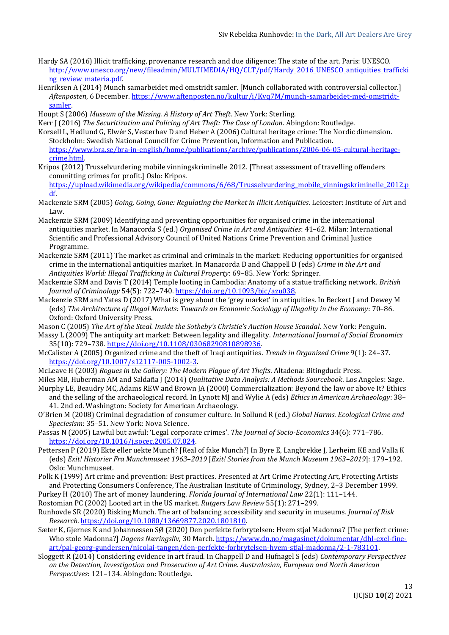- Hardy SA (2016) Illicit trafficking, provenance research and due diligence: The state of the art. Paris: UNESCO. [http://www.unesco.org/new/fileadmin/MULTIMEDIA/HQ/CLT/pdf/Hardy\\_2016\\_UNESCO\\_antiquities\\_trafficki](http://www.unesco.org/new/fileadmin/MULTIMEDIA/HQ/CLT/pdf/Hardy_2016_UNESCO_antiquities_trafficking_review_materia.pdf) ng review materia.pdf
- Henriksen A (2014) Munch samarbeidet med omstridt samler. [Munch collaborated with controversial collector.] *Aftenposten*, 6 December. [https://www.aftenposten.no/kultur/i/Kvq7M/munch-samarbeidet-med-omstridt](https://www.aftenposten.no/kultur/i/Kvq7M/munch-samarbeidet-med-omstridt-samler)[samler.](https://www.aftenposten.no/kultur/i/Kvq7M/munch-samarbeidet-med-omstridt-samler)
- Houpt S (2006) *Museum of the Missing. A History of Art Theft*. New York: Sterling.

Kerr J (2016) *The Securitization and Policing of Art Theft: The Case of London*. Abingdon: Routledge.

- Korsell L, Hedlund G, Elwér S, Vesterhav D and Heber A (2006) Cultural heritage crime: The Nordic dimension. Stockholm: Swedish National Council for Crime Prevention, Information and Publication. [https://www.bra.se/bra-in-english/home/publications/archive/publications/2006-06-05-cultural-heritage](https://www.bra.se/bra-in-english/home/publications/archive/publications/2006-06-05-cultural-heritage-crime.html)[crime.html.](https://www.bra.se/bra-in-english/home/publications/archive/publications/2006-06-05-cultural-heritage-crime.html)
- Kripos (2012) Trusselvurdering mobile vinningskriminelle 2012. [Threat assessment of travelling offenders committing crimes for profit.] Oslo: Kripos.

[https://upload.wikimedia.org/wikipedia/commons/6/68/Trusselvurdering\\_mobile\\_vinningskriminelle\\_2012.p](https://upload.wikimedia.org/wikipedia/commons/6/68/Trusselvurdering_mobile_vinningskriminelle_2012.pdf) [df.](https://upload.wikimedia.org/wikipedia/commons/6/68/Trusselvurdering_mobile_vinningskriminelle_2012.pdf)

- Mackenzie SRM (2005) *Going, Going, Gone: Regulating the Market in Illicit Antiquities*. Leicester: Institute of Art and Law.
- Mackenzie SRM (2009) Identifying and preventing opportunities for organised crime in the international antiquities market. In Manacorda S (ed.) *Organised Crime in Art and Antiquities*: 41–62. Milan: International Scientific and Professional Advisory Council of United Nations Crime Prevention and Criminal Justice Programme.
- Mackenzie SRM (2011) The market as criminal and criminals in the market: Reducing opportunities for organised crime in the international antiquities market. In Manacorda D and Chappell D (eds) *Crime in the Art and Antiquities World: Illegal Trafficking in Cultural Property*: 69–85. New York: Springer.
- Mackenzie SRM and Davis T (2014) Temple looting in Cambodia: Anatomy of a statue trafficking network. *British Journal of Criminology* 54(5): 722–740. [https://doi.org/10.1093/bjc/azu038.](https://doi.org/10.1093/bjc/azu038)
- Mackenzie SRM and Yates D (2017) What is grey about the 'grey market' in antiquities. In Beckert J and Dewey M (eds) *The Architecture of Illegal Markets: Towards an Economic Sociology of Illegality in the Economy*: 70–86. Oxford: Oxford University Press.

Mason C (2005) *The Art of the Steal. Inside the Sotheby's Christie's Auction House Scandal*. New York: Penguin.

- Massy L (2009) The antiquity art market: Between legality and illegality. *International Journal of Social Economics* 35(10): 729–738. [https://doi.org/10.1108/03068290810898936.](https://doi.org/10.1108/03068290810898936)
- McCalister A (2005) Organized crime and the theft of Iraqi antiquities. *Trends in Organized Crime* 9(1): 24–37. [https://doi.org/10.1007/s12117-005-1002-3.](https://doi.org/10.1007/s12117-005-1002-3)
- McLeave H (2003) *Rogues in the Gallery: The Modern Plague of Art Thefts*. Altadena: Bitingduck Press.
- Miles MB, Huberman AM and Saldaña J (2014) *Qualitative Data Analysis: A Methods Sourcebook*. Los Angeles: Sage. Murphy LE, Beaudry MC, Adams REW and Brown JA (2000) Commercialization: Beyond the law or above It? Ethics
- and the selling of the archaeological record. In Lynott MJ and Wylie A (eds) *Ethics in American Archaeology*: 38– 41. 2nd ed. Washington: Society for American Archaeology.
- O'Brien M (2008) Criminal degradation of consumer culture. In Sollund R (ed.) *Global Harms. Ecological Crime and Speciesism*: 35–51. New York: Nova Science.
- Passas N (2005) Lawful but awful: 'Legal corporate crimes'. *The Journal of Socio-Economics* 34(6): 771–786. [https://doi.org/10.1016/j.socec.2005.07.024.](https://doi.org/10.1016/j.socec.2005.07.024)
- Pettersen P (2019) Ekte eller uekte Munch? [Real of fake Munch?] In Byre E, Langbrekke J, Lerheim KE and Valla K (eds) *Exit! Historier Fra Munchmuseet 1963*–*2019* [*Exit! Stories from the Munch Museum 1963–2019*]: 179–192. Oslo: Munchmuseet.
- Polk K (1999) Art crime and prevention: Best practices. Presented at Art Crime Protecting Art, Protecting Artists and Protecting Consumers Conference, The Australian Institute of Criminology, Sydney, 2–3 December 1999.
- Purkey H (2010) The art of money laundering. *Florida Journal of International Law* 22(1): 111–144.
- Rostomian PC (2002) Looted art in the US market. *Rutgers Law Review* 55(1): 271–299.
- Runhovde SR (2020) Risking Munch. The art of balancing accessibility and security in museums. *Journal of Risk Research*[. https://doi.org/10.1080/13669877.2020.1801810.](https://doi.org/10.1080/13669877.2020.1801810)
- Sæter K, Gjernes K and Johannessen SØ (2020) Den perfekte forbrytelsen: Hvem stjal Madonna? [The perfect crime: Who stole Madonna?] *Dagens Næringsliv*, 30 March. [https://www.dn.no/magasinet/dokumentar/dhl-exel-fine](https://www.dn.no/magasinet/dokumentar/dhl-exel-fine-art/pal-georg-gundersen/nicolai-tangen/den-perfekte-forbrytelsen-hvem-stjal-madonna/2-1-783101)[art/pal-georg-gundersen/nicolai-tangen/den-perfekte-forbrytelsen-hvem-stjal-madonna/2-1-783101.](https://www.dn.no/magasinet/dokumentar/dhl-exel-fine-art/pal-georg-gundersen/nicolai-tangen/den-perfekte-forbrytelsen-hvem-stjal-madonna/2-1-783101)
- Sloggett R (2014) Considering evidence in art fraud. In Chappell D and Hufnagel S (eds) *Contemporary Perspectives on the Detection, Investigation and Prosecution of Art Crime. Australasian, European and North American Perspectives*: 121–134. Abingdon: Routledge.